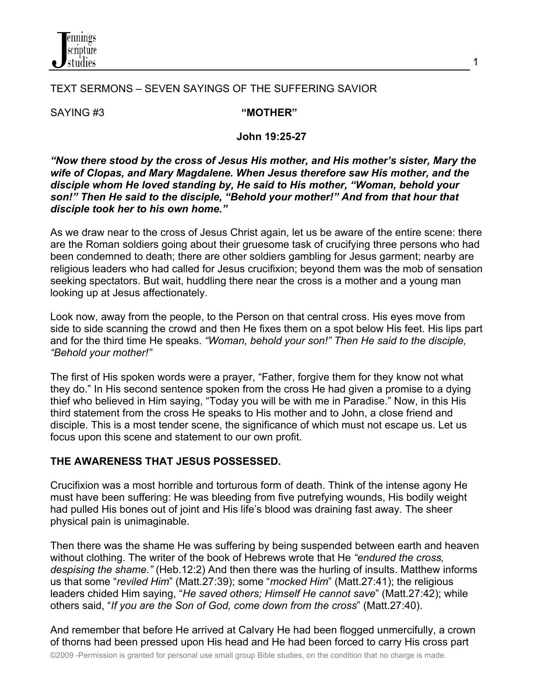

### TEXT SERMONS – SEVEN SAYINGS OF THE SUFFERING SAVIOR

SAYING #3 **"MOTHER"**

#### **John 19:25-27**

*"Now there stood by the cross of Jesus His mother, and His mother's sister, Mary the wife of Clopas, and Mary Magdalene. When Jesus therefore saw His mother, and the disciple whom He loved standing by, He said to His mother, "Woman, behold your son!" Then He said to the disciple, "Behold your mother!" And from that hour that disciple took her to his own home."*

As we draw near to the cross of Jesus Christ again, let us be aware of the entire scene: there are the Roman soldiers going about their gruesome task of crucifying three persons who had been condemned to death; there are other soldiers gambling for Jesus garment; nearby are religious leaders who had called for Jesus crucifixion; beyond them was the mob of sensation seeking spectators. But wait, huddling there near the cross is a mother and a young man looking up at Jesus affectionately.

Look now, away from the people, to the Person on that central cross. His eyes move from side to side scanning the crowd and then He fixes them on a spot below His feet. His lips part and for the third time He speaks. *"Woman, behold your son!" Then He said to the disciple, "Behold your mother!"*

The first of His spoken words were a prayer, "Father, forgive them for they know not what they do." In His second sentence spoken from the cross He had given a promise to a dying thief who believed in Him saying, "Today you will be with me in Paradise." Now, in this His third statement from the cross He speaks to His mother and to John, a close friend and disciple. This is a most tender scene, the significance of which must not escape us. Let us focus upon this scene and statement to our own profit.

#### **THE AWARENESS THAT JESUS POSSESSED.**

Crucifixion was a most horrible and torturous form of death. Think of the intense agony He must have been suffering: He was bleeding from five putrefying wounds, His bodily weight had pulled His bones out of joint and His life's blood was draining fast away. The sheer physical pain is unimaginable.

Then there was the shame He was suffering by being suspended between earth and heaven without clothing. The writer of the book of Hebrews wrote that He *"endured the cross, despising the shame."* (Heb.12:2) And then there was the hurling of insults. Matthew informs us that some "*reviled Him*" (Matt.27:39); some "*mocked Him*" (Matt.27:41); the religious leaders chided Him saying, "*He saved others; Himself He cannot save*" (Matt.27:42); while others said, "*If you are the Son of God, come down from the cross*" (Matt.27:40).

And remember that before He arrived at Calvary He had been flogged unmercifully, a crown of thorns had been pressed upon His head and He had been forced to carry His cross part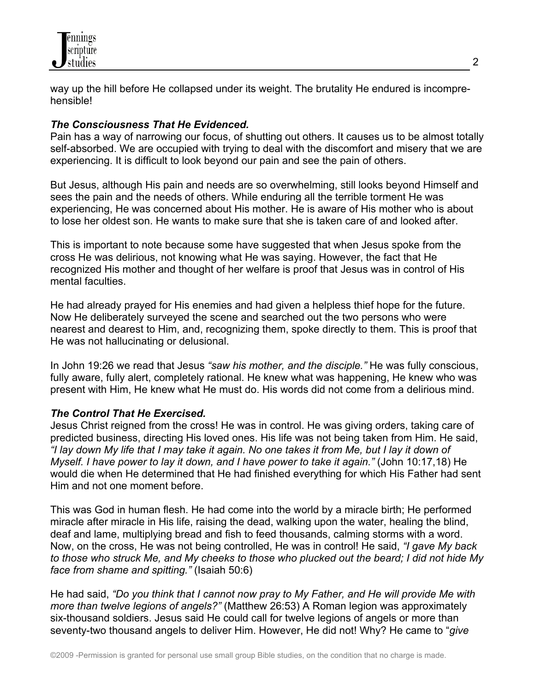

way up the hill before He collapsed under its weight. The brutality He endured is incomprehensible!

## *The Consciousness That He Evidenced.*

Pain has a way of narrowing our focus, of shutting out others. It causes us to be almost totally self-absorbed. We are occupied with trying to deal with the discomfort and misery that we are experiencing. It is difficult to look beyond our pain and see the pain of others.

But Jesus, although His pain and needs are so overwhelming, still looks beyond Himself and sees the pain and the needs of others. While enduring all the terrible torment He was experiencing, He was concerned about His mother. He is aware of His mother who is about to lose her oldest son. He wants to make sure that she is taken care of and looked after.

This is important to note because some have suggested that when Jesus spoke from the cross He was delirious, not knowing what He was saying. However, the fact that He recognized His mother and thought of her welfare is proof that Jesus was in control of His mental faculties.

He had already prayed for His enemies and had given a helpless thief hope for the future. Now He deliberately surveyed the scene and searched out the two persons who were nearest and dearest to Him, and, recognizing them, spoke directly to them. This is proof that He was not hallucinating or delusional.

In John 19:26 we read that Jesus *"saw his mother, and the disciple."* He was fully conscious, fully aware, fully alert, completely rational. He knew what was happening, He knew who was present with Him, He knew what He must do. His words did not come from a delirious mind.

#### *The Control That He Exercised.*

Jesus Christ reigned from the cross! He was in control. He was giving orders, taking care of predicted business, directing His loved ones. His life was not being taken from Him. He said, *"I lay down My life that I may take it again. No one takes it from Me, but I lay it down of Myself. I have power to lay it down, and I have power to take it again."* (John 10:17,18) He would die when He determined that He had finished everything for which His Father had sent Him and not one moment before.

This was God in human flesh. He had come into the world by a miracle birth; He performed miracle after miracle in His life, raising the dead, walking upon the water, healing the blind, deaf and lame, multiplying bread and fish to feed thousands, calming storms with a word. Now, on the cross, He was not being controlled, He was in control! He said, *"I gave My back to those who struck Me, and My cheeks to those who plucked out the beard; I did not hide My face from shame and spitting."* (Isaiah 50:6)

He had said, *"Do you think that I cannot now pray to My Father, and He will provide Me with more than twelve legions of angels?"* (Matthew 26:53) A Roman legion was approximately six-thousand soldiers. Jesus said He could call for twelve legions of angels or more than seventy-two thousand angels to deliver Him. However, He did not! Why? He came to "*give*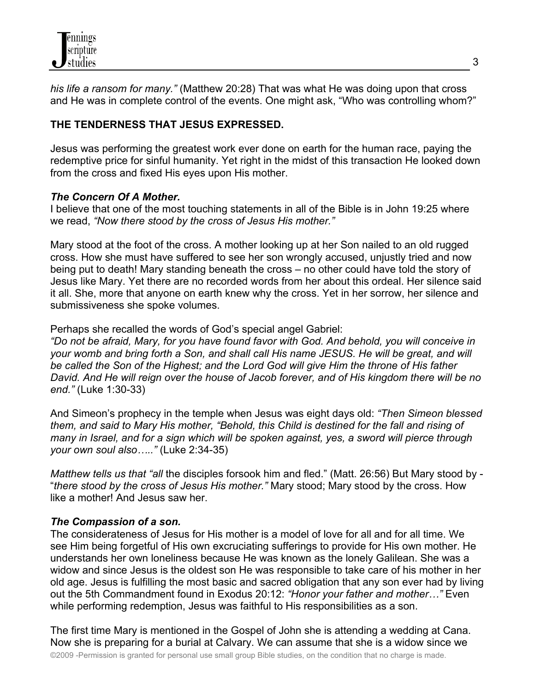*his life a ransom for many."* (Matthew 20:28) That was what He was doing upon that cross and He was in complete control of the events. One might ask, "Who was controlling whom?"

# **THE TENDERNESS THAT JESUS EXPRESSED.**

Jesus was performing the greatest work ever done on earth for the human race, paying the redemptive price for sinful humanity. Yet right in the midst of this transaction He looked down from the cross and fixed His eyes upon His mother.

## *The Concern Of A Mother.*

I believe that one of the most touching statements in all of the Bible is in John 19:25 where we read, *"Now there stood by the cross of Jesus His mother."*

Mary stood at the foot of the cross. A mother looking up at her Son nailed to an old rugged cross. How she must have suffered to see her son wrongly accused, unjustly tried and now being put to death! Mary standing beneath the cross – no other could have told the story of Jesus like Mary. Yet there are no recorded words from her about this ordeal. Her silence said it all. She, more that anyone on earth knew why the cross. Yet in her sorrow, her silence and submissiveness she spoke volumes.

Perhaps she recalled the words of God's special angel Gabriel:

*"Do not be afraid, Mary, for you have found favor with God. And behold, you will conceive in your womb and bring forth a Son, and shall call His name JESUS. He will be great, and will be called the Son of the Highest; and the Lord God will give Him the throne of His father David. And He will reign over the house of Jacob forever, and of His kingdom there will be no end."* (Luke 1:30-33)

And Simeon's prophecy in the temple when Jesus was eight days old: *"Then Simeon blessed them, and said to Mary His mother, "Behold, this Child is destined for the fall and rising of many in Israel, and for a sign which will be spoken against, yes, a sword will pierce through your own soul also….."* (Luke 2:34-35)

*Matthew tells us that "all* the disciples forsook him and fled." (Matt. 26:56) But Mary stood by - "*there stood by the cross of Jesus His mother."* Mary stood; Mary stood by the cross. How like a mother! And Jesus saw her.

## *The Compassion of a son.*

The considerateness of Jesus for His mother is a model of love for all and for all time. We see Him being forgetful of His own excruciating sufferings to provide for His own mother. He understands her own loneliness because He was known as the lonely Galilean. She was a widow and since Jesus is the oldest son He was responsible to take care of his mother in her old age. Jesus is fulfilling the most basic and sacred obligation that any son ever had by living out the 5th Commandment found in Exodus 20:12: *"Honor your father and mother…"* Even while performing redemption, Jesus was faithful to His responsibilities as a son.

The first time Mary is mentioned in the Gospel of John she is attending a wedding at Cana. Now she is preparing for a burial at Calvary. We can assume that she is a widow since we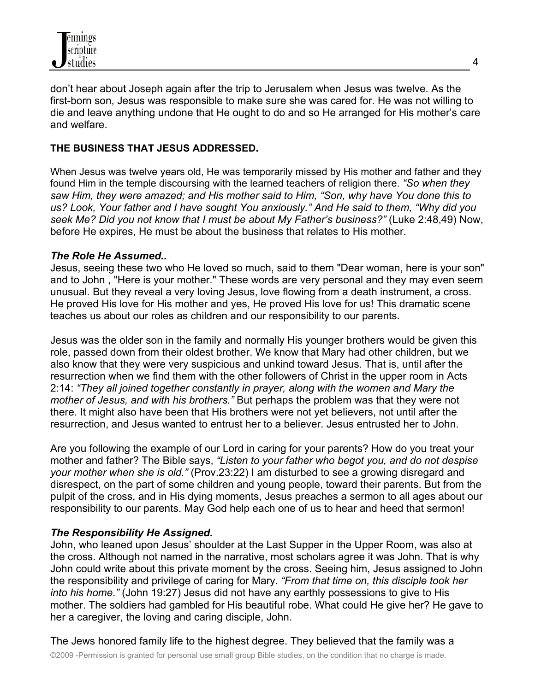don't hear about Joseph again after the trip to Jerusalem when Jesus was twelve. As the first-born son, Jesus was responsible to make sure she was cared for. He was not willing to die and leave anything undone that He ought to do and so He arranged for His mother's care and welfare.

## **THE BUSINESS THAT JESUS ADDRESSED.**

When Jesus was twelve years old, He was temporarily missed by His mother and father and they found Him in the temple discoursing with the learned teachers of religion there. *"So when they saw Him, they were amazed; and His mother said to Him, "Son, why have You done this to us? Look, Your father and I have sought You anxiously." And He said to them, "Why did you seek Me? Did you not know that I must be about My Father's business?"* (Luke 2:48,49) Now, before He expires, He must be about the business that relates to His mother.

## *The Role He Assumed..*

Jesus, seeing these two who He loved so much, said to them "Dear woman, here is your son" and to John , "Here is your mother." These words are very personal and they may even seem unusual. But they reveal a very loving Jesus, love flowing from a death instrument, a cross. He proved His love for His mother and yes, He proved His love for us! This dramatic scene teaches us about our roles as children and our responsibility to our parents.

Jesus was the older son in the family and normally His younger brothers would be given this role, passed down from their oldest brother. We know that Mary had other children, but we also know that they were very suspicious and unkind toward Jesus. That is, until after the resurrection when we find them with the other followers of Christ in the upper room in Acts 2:14: *"They all joined together constantly in prayer, along with the women and Mary the mother of Jesus, and with his brothers."* But perhaps the problem was that they were not there. It might also have been that His brothers were not yet believers, not until after the resurrection, and Jesus wanted to entrust her to a believer. Jesus entrusted her to John.

Are you following the example of our Lord in caring for your parents? How do you treat your mother and father? The Bible says, *"Listen to your father who begot you, and do not despise your mother when she is old."* (Prov.23:22) I am disturbed to see a growing disregard and disrespect, on the part of some children and young people, toward their parents. But from the pulpit of the cross, and in His dying moments, Jesus preaches a sermon to all ages about our responsibility to our parents. May God help each one of us to hear and heed that sermon!

#### *The Responsibility He Assigned.*

John, who leaned upon Jesus' shoulder at the Last Supper in the Upper Room, was also at the cross. Although not named in the narrative, most scholars agree it was John. That is why John could write about this private moment by the cross. Seeing him, Jesus assigned to John the responsibility and privilege of caring for Mary. *"From that time on, this disciple took her into his home."* (John 19:27) Jesus did not have any earthly possessions to give to His mother. The soldiers had gambled for His beautiful robe. What could He give her? He gave to her a caregiver, the loving and caring disciple, John.

The Jews honored family life to the highest degree. They believed that the family was a